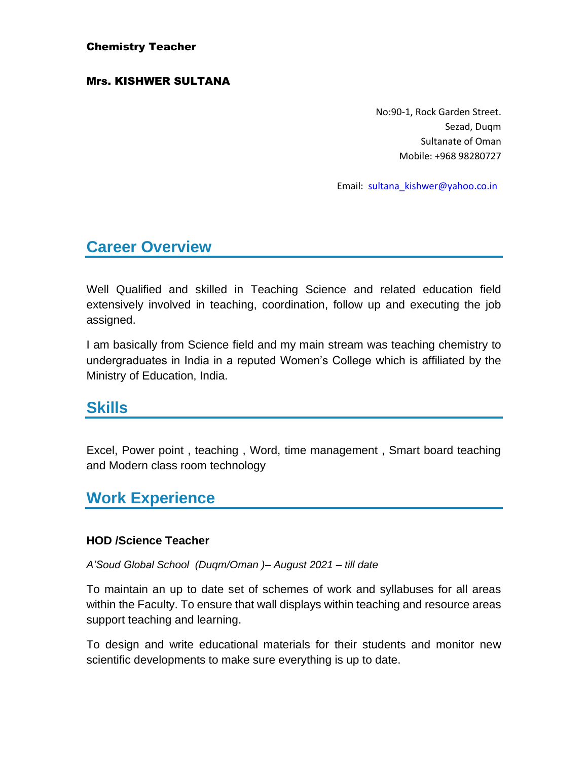#### Chemistry Teacher

#### Mrs. KISHWER SULTANA

No:90-1, Rock Garden Street. Sezad, Duqm Sultanate of Oman Mobile: +968 98280727

Email: [sultana\\_kishwer@yahoo.co.in](mailto:sultana_kishwer@yahoo.co.in)

## **Career Overview**

Well Qualified and skilled in Teaching Science and related education field extensively involved in teaching, coordination, follow up and executing the job assigned.

I am basically from Science field and my main stream was teaching chemistry to undergraduates in India in a reputed Women's College which is affiliated by the Ministry of Education, India.

## **Skills**

Excel, Power point , teaching , Word, time management , Smart board teaching and Modern class room technology

## **Work Experience**

### **HOD /Science Teacher**

#### *A'Soud Global School (Duqm/Oman )– August 2021 – till date*

To maintain an up to date set of schemes of work and syllabuses for all areas within the Faculty. To ensure that wall displays within teaching and resource areas support teaching and learning.

To design and write educational materials for their students and monitor new scientific developments to make sure everything is up to date.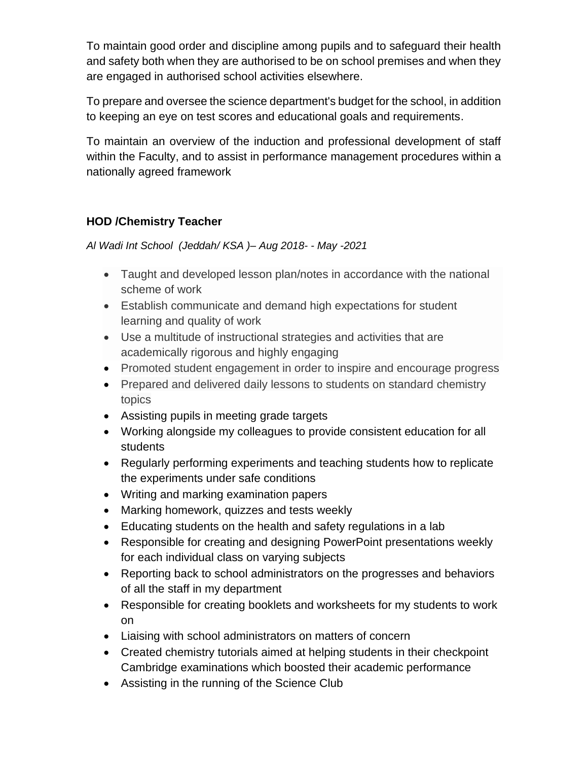To maintain good order and discipline among pupils and to safeguard their health and safety both when they are authorised to be on school premises and when they are engaged in authorised school activities elsewhere.

To prepare and oversee the science department's budget for the school, in addition to keeping an eye on test scores and educational goals and requirements.

To maintain an overview of the induction and professional development of staff within the Faculty, and to assist in performance management procedures within a nationally agreed framework

### **HOD /Chemistry Teacher**

*Al Wadi Int School (Jeddah/ KSA )– Aug 2018- - May -2021*

- Taught and developed lesson plan/notes in accordance with the national scheme of work
- Establish communicate and demand high expectations for student learning and quality of work
- Use a multitude of instructional strategies and activities that are academically rigorous and highly engaging
- Promoted student engagement in order to inspire and encourage progress
- Prepared and delivered daily lessons to students on standard chemistry topics
- Assisting pupils in meeting grade targets
- Working alongside my colleagues to provide consistent education for all students
- Regularly performing experiments and teaching students how to replicate the experiments under safe conditions
- Writing and marking examination papers
- Marking homework, quizzes and tests weekly
- Educating students on the health and safety regulations in a lab
- Responsible for creating and designing PowerPoint presentations weekly for each individual class on varying subjects
- Reporting back to school administrators on the progresses and behaviors of all the staff in my department
- Responsible for creating booklets and worksheets for my students to work on
- Liaising with school administrators on matters of concern
- Created chemistry tutorials aimed at helping students in their checkpoint Cambridge examinations which boosted their academic performance
- Assisting in the running of the Science Club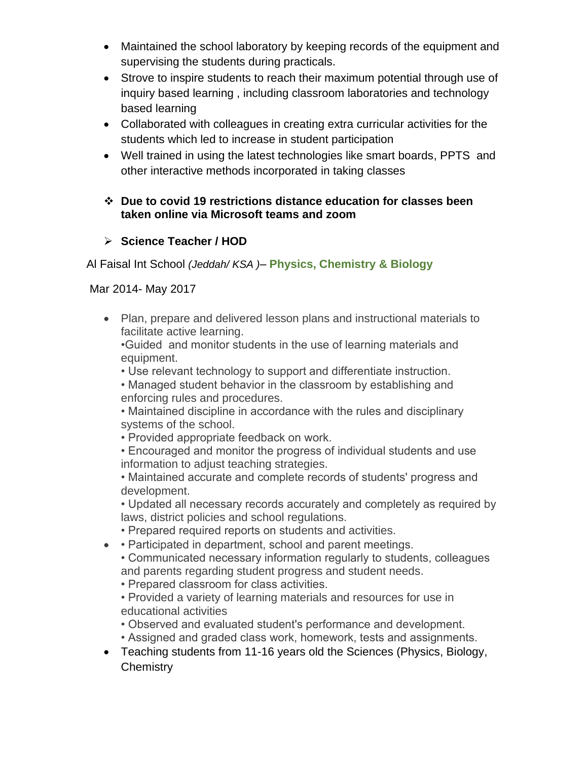- Maintained the school laboratory by keeping records of the equipment and supervising the students during practicals.
- Strove to inspire students to reach their maximum potential through use of inquiry based learning , including classroom laboratories and technology based learning
- Collaborated with colleagues in creating extra curricular activities for the students which led to increase in student participation
- Well trained in using the latest technologies like smart boards, PPTS and other interactive methods incorporated in taking classes

### ❖ **Due to covid 19 restrictions distance education for classes been taken online via Microsoft teams and zoom**

### ➢ **Science Teacher / HOD**

Al Faisal Int School *(Jeddah/ KSA )*– **Physics, Chemistry & Biology**

Mar 2014- May 2017

• Plan, prepare and delivered lesson plans and instructional materials to facilitate active learning.

•Guided and monitor students in the use of learning materials and equipment.

- Use relevant technology to support and differentiate instruction.
- Managed student behavior in the classroom by establishing and enforcing rules and procedures.
- Maintained discipline in accordance with the rules and disciplinary systems of the school.
- Provided appropriate feedback on work.
- Encouraged and monitor the progress of individual students and use information to adjust teaching strategies.

• Maintained accurate and complete records of students' progress and development.

• Updated all necessary records accurately and completely as required by laws, district policies and school regulations.

- Prepared required reports on students and activities.
- • Participated in department, school and parent meetings.
	- Communicated necessary information regularly to students, colleagues and parents regarding student progress and student needs.
	- Prepared classroom for class activities.
	- Provided a variety of learning materials and resources for use in educational activities
	- Observed and evaluated student's performance and development.
	- Assigned and graded class work, homework, tests and assignments.
- Teaching students from 11-16 years old the Sciences (Physics, Biology, **Chemistry**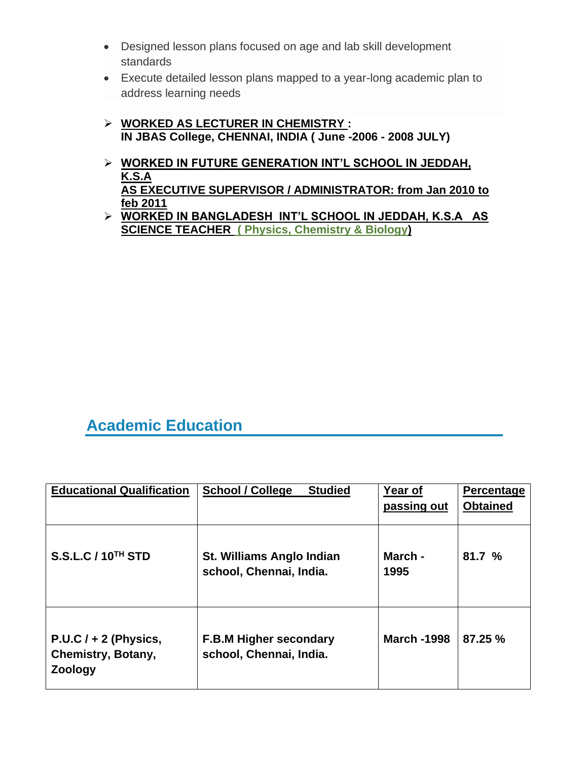- Designed lesson plans focused on age and lab skill development standards
- Execute detailed lesson plans mapped to a year-long academic plan to address learning needs
- ➢ **WORKED AS LECTURER IN CHEMISTRY : IN JBAS College, CHENNAI, INDIA ( June -2006 - 2008 JULY)**
- ➢ **WORKED IN FUTURE GENERATION INT'L SCHOOL IN JEDDAH, K.S.A AS EXECUTIVE SUPERVISOR / ADMINISTRATOR: from Jan 2010 to feb 2011**
- ➢ **WORKED IN BANGLADESH INT'L SCHOOL IN JEDDAH, K.S.A AS SCIENCE TEACHER ( Physics, Chemistry & Biology)**

# **Academic Education**

| <b>Educational Qualification</b>                         | <b>Studied</b><br><b>School / College</b>                | Year of<br>passing out | Percentage<br><b>Obtained</b> |
|----------------------------------------------------------|----------------------------------------------------------|------------------------|-------------------------------|
| <b>S.S.L.C / 10<sup>TH</sup> STD</b>                     | St. Williams Anglo Indian<br>school, Chennai, India.     | March -<br>1995        | 81.7%                         |
| $P.U.C I + 2 (Physics,$<br>Chemistry, Botany,<br>Zoology | <b>F.B.M Higher secondary</b><br>school, Chennai, India. | <b>March -1998</b>     | 87.25 %                       |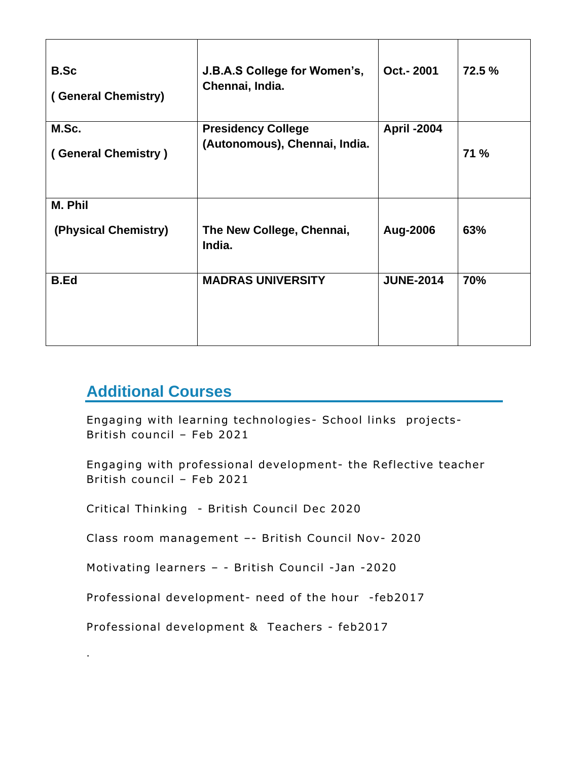| <b>B.Sc</b><br>(General Chemistry) | J.B.A.S College for Women's,<br>Chennai, India.            | Oct.-2001          | 72.5 %      |
|------------------------------------|------------------------------------------------------------|--------------------|-------------|
| M.Sc.<br>(General Chemistry)       | <b>Presidency College</b><br>(Autonomous), Chennai, India. | <b>April -2004</b> | <b>71 %</b> |
| M. Phil<br>(Physical Chemistry)    | The New College, Chennai,<br>India.                        | Aug-2006           | 63%         |
| <b>B.Ed</b>                        | <b>MADRAS UNIVERSITY</b>                                   | <b>JUNE-2014</b>   | 70%         |

# **Additional Courses**

.

Engaging with learning technologies- School links projects-British council – Feb 2021

Engaging with professional development- the Reflective teacher British council – Feb 2021

Critical Thinking - British Council Dec 2020

Class room management –- British Council Nov- 2020

Motivating learners – - British Council -Jan -2020

Professional development- need of the hour -feb2017

Professional development & Teachers - feb2017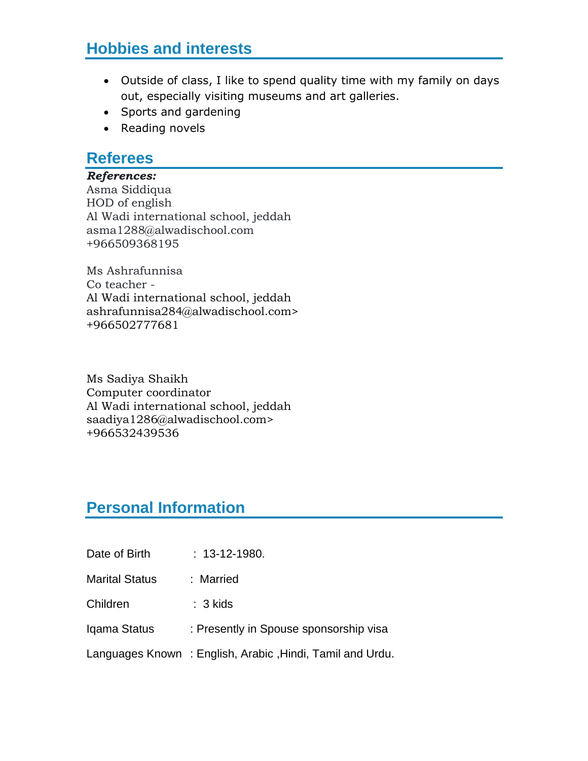# **Hobbies and interests**

- Outside of class, I like to spend quality time with my family on days out, especially visiting museums and art galleries.
- Sports and gardening
- Reading novels

### **Referees**

#### *References:*

Asma Siddiqua HOD of english Al Wadi international school, jeddah asma1288@alwadischool.com +966509368195

Ms Ashrafunnisa Co teacher - Al Wadi international school, jeddah ashrafunnisa284@alwadischool.com> +966502777681

Ms Sadiya Shaikh Computer coordinator Al Wadi international school, jeddah saadiya1286@alwadischool.com> +966532439536

## **Personal Information**

- Date of Birth : 13-12-1980.
- Marital Status : Married
- Children : 3 kids
- Iqama Status : Presently in Spouse sponsorship visa
- Languages Known : English, Arabic ,Hindi, Tamil and Urdu.